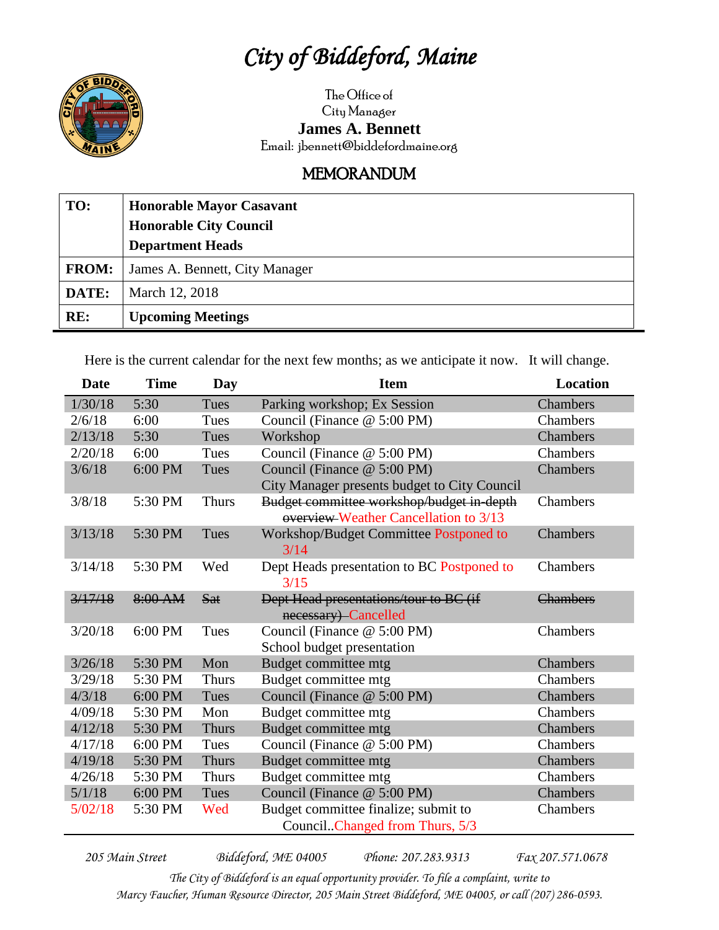## *City of Biddeford, Maine*



The Office of City Manager **James A. Bennett** Email: jbennett@biddefordmaine.org

## MEMORANDUM

| TO:          | <b>Honorable Mayor Casavant</b> |
|--------------|---------------------------------|
|              | <b>Honorable City Council</b>   |
|              | <b>Department Heads</b>         |
| <b>FROM:</b> | James A. Bennett, City Manager  |
| DATE:        | March 12, 2018                  |
| RE:          | <b>Upcoming Meetings</b>        |

Here is the current calendar for the next few months; as we anticipate it now. It will change.

| <b>Date</b> | <b>Time</b> | Day          | <b>Item</b>                                  | <b>Location</b> |
|-------------|-------------|--------------|----------------------------------------------|-----------------|
| 1/30/18     | 5:30        | Tues         | Parking workshop; Ex Session                 | Chambers        |
| 2/6/18      | 6:00        | Tues         | Council (Finance @ 5:00 PM)                  | Chambers        |
| 2/13/18     | 5:30        | Tues         | Workshop                                     | Chambers        |
| 2/20/18     | 6:00        | Tues         | Council (Finance @ 5:00 PM)                  | Chambers        |
| 3/6/18      | 6:00 PM     | Tues         | Council (Finance @ 5:00 PM)                  | Chambers        |
|             |             |              | City Manager presents budget to City Council |                 |
| 3/8/18      | 5:30 PM     | <b>Thurs</b> | Budget committee workshop/budget in-depth    | Chambers        |
|             |             |              | overview-Weather Cancellation to 3/13        |                 |
| 3/13/18     | 5:30 PM     | Tues         | Workshop/Budget Committee Postponed to       | Chambers        |
|             |             |              | 3/14                                         |                 |
| 3/14/18     | 5:30 PM     | Wed          | Dept Heads presentation to BC Postponed to   | Chambers        |
|             |             |              | 3/15                                         |                 |
| 3/17/18     | 8:00 AM     | <b>Sat</b>   | Dept Head presentations/tour to BC (if       | <b>Chambers</b> |
|             |             |              | necessary) Cancelled                         |                 |
| 3/20/18     | $6:00$ PM   | Tues         | Council (Finance @ 5:00 PM)                  | Chambers        |
|             |             |              | School budget presentation                   |                 |
| 3/26/18     | 5:30 PM     | Mon          | Budget committee mtg                         | <b>Chambers</b> |
| 3/29/18     | 5:30 PM     | <b>Thurs</b> | Budget committee mtg                         | Chambers        |
| 4/3/18      | 6:00 PM     | Tues         | Council (Finance @ 5:00 PM)                  | Chambers        |
| 4/09/18     | 5:30 PM     | Mon          | Budget committee mtg                         | Chambers        |
| 4/12/18     | 5:30 PM     | <b>Thurs</b> | Budget committee mtg                         | Chambers        |
| 4/17/18     | 6:00 PM     | Tues         | Council (Finance @ 5:00 PM)                  | Chambers        |
| 4/19/18     | 5:30 PM     | <b>Thurs</b> | Budget committee mtg                         | Chambers        |
| 4/26/18     | 5:30 PM     | <b>Thurs</b> | Budget committee mtg                         | Chambers        |
| 5/1/18      | 6:00 PM     | Tues         | Council (Finance @ 5:00 PM)                  | Chambers        |
| 5/02/18     | 5:30 PM     | Wed          | Budget committee finalize; submit to         | Chambers        |
|             |             |              | CouncilChanged from Thurs, 5/3               |                 |

*205 Main Street Biddeford, ME 04005 Phone: 207.283.9313 Fax 207.571.0678 The City of Biddeford is an equal opportunity provider. To file a complaint, write to Marcy Faucher, Human Resource Director, 205 Main Street Biddeford, ME 04005, or call (207) 286-0593.*